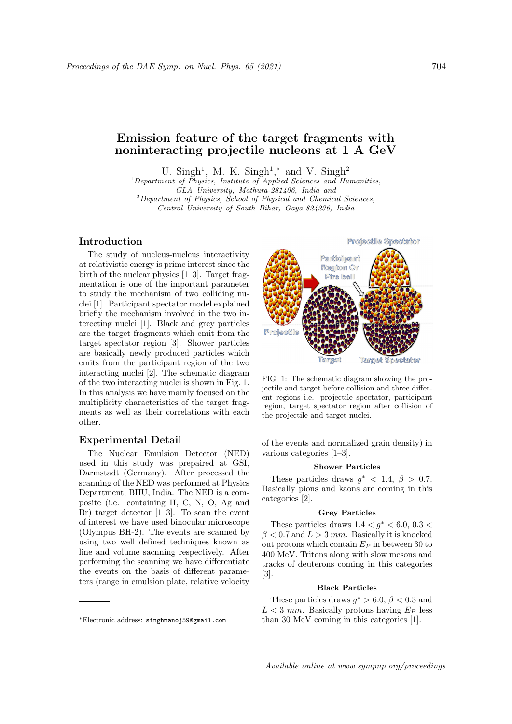# Emission feature of the target fragments with noninteracting projectile nucleons at 1 A GeV

U. Singh<sup>1</sup>, M. K. Singh<sup>1</sup>,\* and V. Singh<sup>2</sup>

 $1$  Department of Physics, Institute of Applied Sciences and Humanities, GLA University, Mathura-281406, India and  $2$ Department of Physics, School of Physical and Chemical Sciences, Central University of South Bihar, Gaya-824236, India

# Introduction

The study of nucleus-nucleus interactivity at relativistic energy is prime interest since the birth of the nuclear physics [1–3]. Target fragmentation is one of the important parameter to study the mechanism of two colliding nuclei [1]. Participant spectator model explained briefly the mechanism involved in the two interecting nuclei [1]. Black and grey particles are the target fragments which emit from the target spectator region [3]. Shower particles are basically newly produced particles which emits from the participant region of the two interacting nuclei [2]. The schematic diagram of the two interacting nuclei is shown in Fig. 1. In this analysis we have mainly focused on the multiplicity characteristics of the target fragments as well as their correlations with each other.

# Experimental Detail

The Nuclear Emulsion Detector (NED) used in this study was prepaired at GSI, Darmstadt (Germany). After processed the scanning of the NED was performed at Physics Department, BHU, India. The NED is a composite (i.e. containing H, C, N, O, Ag and Br) target detector  $[1-3]$ . To scan the event of interest we have used binocular microscope (Olympus BH-2). The events are scanned by using two well defined techniques known as line and volume sacnning respectively. After performing the scanning we have differentiate the events on the basis of different parameters (range in emulsion plate, relative velocity



FIG. 1: The schematic diagram showing the projectile and target before collision and three different regions i.e. projectile spectator, participant region, target spectator region after collision of the projectile and target nuclei.

of the events and normalized grain density) in various categories [1–3].

#### Shower Particles

These particles draws  $g^*$  < 1.4,  $\beta$  > 0.7. Basically pions and kaons are coming in this categories [2].

# Grey Particles

These particles draws  $1.4 < g^* < 6.0, 0.3 <$  $\beta$  < 0.7 and  $L > 3$  mm. Basically it is knocked out protons which contain  $E_P$  in between 30 to 400 MeV. Tritons along with slow mesons and tracks of deuterons coming in this categories [3].

## Black Particles

These particles draws  $g^* > 6.0$ ,  $\beta < 0.3$  and  $L < 3$  mm. Basically protons having  $E_P$  less than 30 MeV coming in this categories [1].

<sup>∗</sup>Electronic address: singhmanoj59@gmail.com